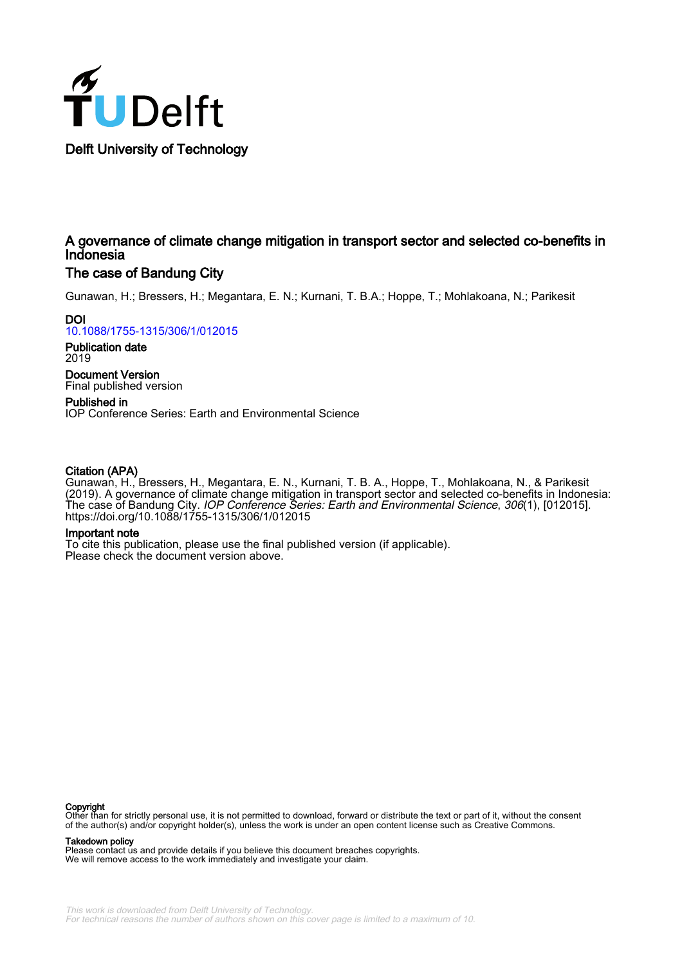

### A governance of climate change mitigation in transport sector and selected co-benefits in Indonesia

#### The case of Bandung City

Gunawan, H.; Bressers, H.; Megantara, E. N.; Kurnani, T. B.A.; Hoppe, T.; Mohlakoana, N.; Parikesit

**DOI** [10.1088/1755-1315/306/1/012015](https://doi.org/10.1088/1755-1315/306/1/012015)

Publication date 2019

Document Version Final published version

Published in IOP Conference Series: Earth and Environmental Science

#### Citation (APA)

Gunawan, H., Bressers, H., Megantara, E. N., Kurnani, T. B. A., Hoppe, T., Mohlakoana, N., & Parikesit (2019). A governance of climate change mitigation in transport sector and selected co-benefits in Indonesia: The case of Bandung City. IOP Conference Series: Earth and Environmental Science, 306(1), [012015]. <https://doi.org/10.1088/1755-1315/306/1/012015>

#### Important note

To cite this publication, please use the final published version (if applicable). Please check the document version above.

**Copyright**<br>Other than for strictly personal use, it is not permitted to download, forward or distribute the text or part of it, without the consent of the author(s) and/or copyright holder(s), unless the work is under an open content license such as Creative Commons.

Takedown policy

Please contact us and provide details if you believe this document breaches copyrights. We will remove access to the work immediately and investigate your claim.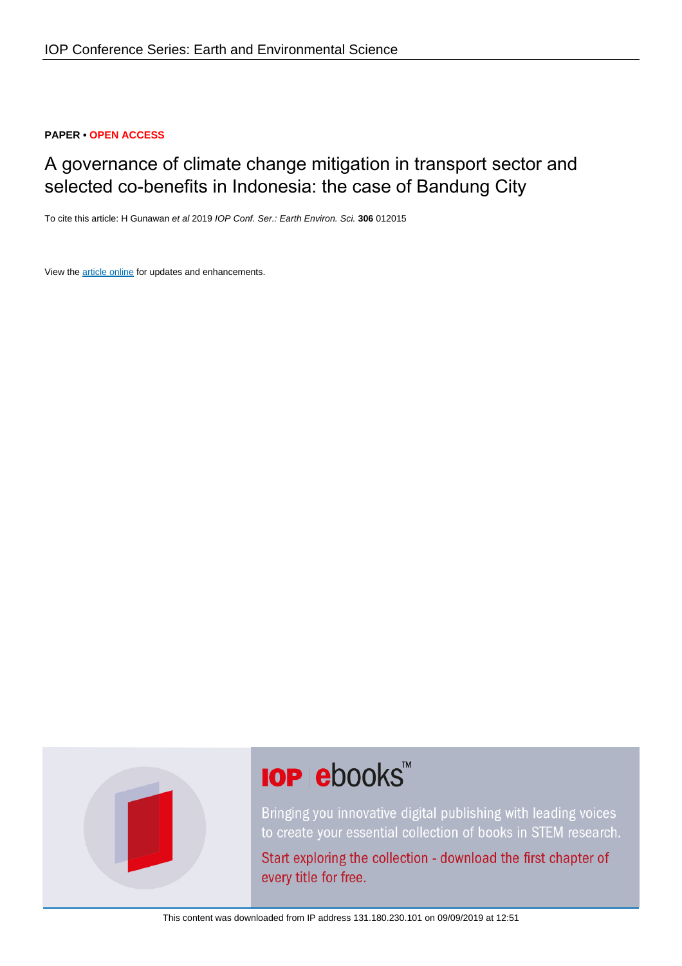#### **PAPER • OPEN ACCESS**

## A governance of climate change mitigation in transport sector and selected co-benefits in Indonesia: the case of Bandung City

To cite this article: H Gunawan et al 2019 IOP Conf. Ser.: Earth Environ. Sci. **306** 012015

View the [article online](https://doi.org/10.1088/1755-1315/306/1/012015) for updates and enhancements.



# **IOP ebooks**™

Bringing you innovative digital publishing with leading voices to create your essential collection of books in STEM research.

Start exploring the collection - download the first chapter of every title for free.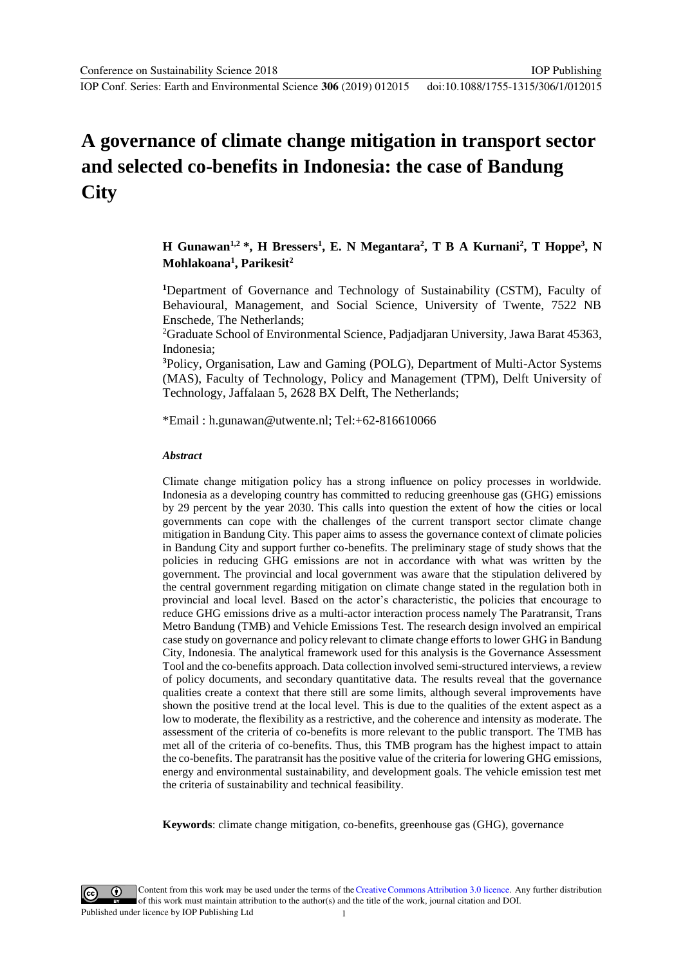**City**

IOP Conf. Series: Earth and Environmental Science **306** (2019) 012015

## **A governance of climate change mitigation in transport sector and selected co-benefits in Indonesia: the case of Bandung**

## **H** Gunawan<sup>1,2</sup> \*, **H** Bressers<sup>1</sup>, **E.** N Megantara<sup>2</sup>, T B A Kurnani<sup>2</sup>, T Hoppe<sup>3</sup>, N **Mohlakoana<sup>1</sup> , Parikesit<sup>2</sup>**

**<sup>1</sup>**Department of Governance and Technology of Sustainability (CSTM), Faculty of Behavioural, Management, and Social Science, University of Twente, 7522 NB Enschede, The Netherlands;

<sup>2</sup>Graduate School of Environmental Science, Padjadjaran University, Jawa Barat 45363, Indonesia;

**<sup>3</sup>**Policy, Organisation, Law and Gaming (POLG), Department of Multi-Actor Systems (MAS), Faculty of Technology, Policy and Management (TPM), Delft University of Technology, Jaffalaan 5, 2628 BX Delft, The Netherlands;

\*Email : h.gunawan@utwente.nl; Tel:+62-816610066

#### *Abstract*

Climate change mitigation policy has a strong influence on policy processes in worldwide. Indonesia as a developing country has committed to reducing greenhouse gas (GHG) emissions by 29 percent by the year 2030. This calls into question the extent of how the cities or local governments can cope with the challenges of the current transport sector climate change mitigation in Bandung City. This paper aims to assess the governance context of climate policies in Bandung City and support further co-benefits. The preliminary stage of study shows that the policies in reducing GHG emissions are not in accordance with what was written by the government. The provincial and local government was aware that the stipulation delivered by the central government regarding mitigation on climate change stated in the regulation both in provincial and local level. Based on the actor"s characteristic, the policies that encourage to reduce GHG emissions drive as a multi-actor interaction process namely The Paratransit, Trans Metro Bandung (TMB) and Vehicle Emissions Test. The research design involved an empirical case study on governance and policy relevant to climate change efforts to lower GHG in Bandung City, Indonesia. The analytical framework used for this analysis is the Governance Assessment Tool and the co-benefits approach. Data collection involved semi-structured interviews, a review of policy documents, and secondary quantitative data. The results reveal that the governance qualities create a context that there still are some limits, although several improvements have shown the positive trend at the local level. This is due to the qualities of the extent aspect as a low to moderate, the flexibility as a restrictive, and the coherence and intensity as moderate. The assessment of the criteria of co-benefits is more relevant to the public transport. The TMB has met all of the criteria of co-benefits. Thus, this TMB program has the highest impact to attain the co-benefits. The paratransit has the positive value of the criteria for lowering GHG emissions, energy and environmental sustainability, and development goals. The vehicle emission test met the criteria of sustainability and technical feasibility.

**Keywords**: climate change mitigation, co-benefits, greenhouse gas (GHG), governance

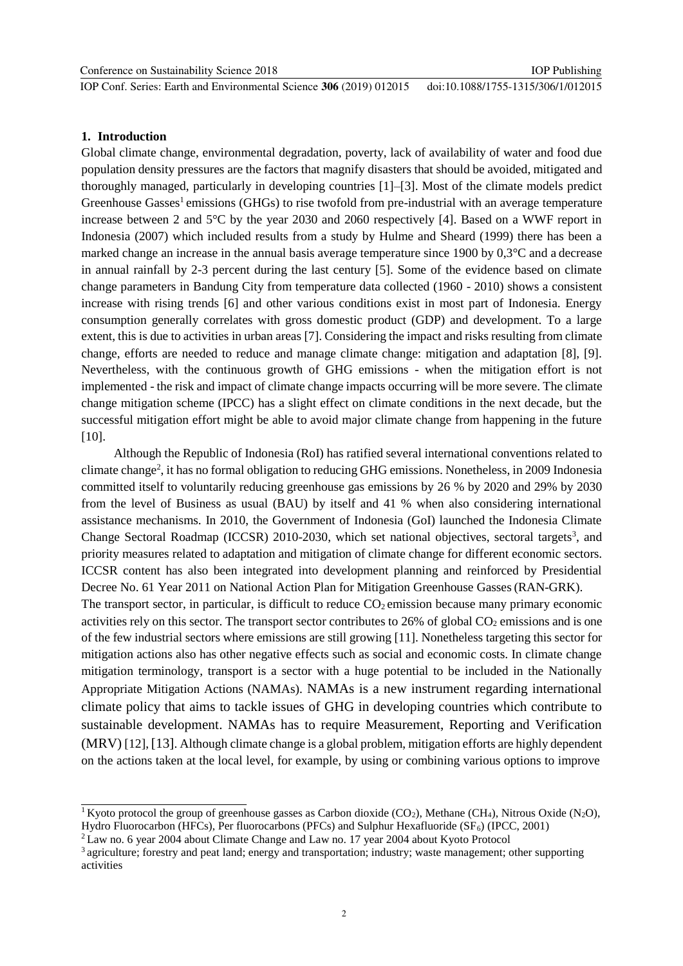IOP Conf. Series: Earth and Environmental Science **306** (2019) 012015

#### **1. Introduction**

Global climate change, environmental degradation, poverty, lack of availability of water and food due population density pressures are the factors that magnify disasters that should be avoided, mitigated and thoroughly managed, particularly in developing countries [1]–[3]. Most of the climate models predict Greenhouse Gasses<sup>1</sup> emissions (GHGs) to rise twofold from pre-industrial with an average temperature increase between 2 and 5°C by the year 2030 and 2060 respectively [4]. Based on a WWF report in Indonesia (2007) which included results from a study by Hulme and Sheard (1999) there has been a marked change an increase in the annual basis average temperature since 1900 by 0,3°C and a decrease in annual rainfall by 2-3 percent during the last century [5]. Some of the evidence based on climate change parameters in Bandung City from temperature data collected (1960 - 2010) shows a consistent increase with rising trends [6] and other various conditions exist in most part of Indonesia. Energy consumption generally correlates with gross domestic product (GDP) and development. To a large extent, this is due to activities in urban areas [7]. Considering the impact and risks resulting from climate change, efforts are needed to reduce and manage climate change: mitigation and adaptation [8], [9]. Nevertheless, with the continuous growth of GHG emissions - when the mitigation effort is not implemented - the risk and impact of climate change impacts occurring will be more severe. The climate change mitigation scheme (IPCC) has a slight effect on climate conditions in the next decade, but the successful mitigation effort might be able to avoid major climate change from happening in the future [10].

Although the Republic of Indonesia (RoI) has ratified several international conventions related to climate change<sup>2</sup>, it has no formal obligation to reducing GHG emissions. Nonetheless, in 2009 Indonesia committed itself to voluntarily reducing greenhouse gas emissions by 26 % by 2020 and 29% by 2030 from the level of Business as usual (BAU) by itself and 41 % when also considering international assistance mechanisms. In 2010, the Government of Indonesia (GoI) launched the Indonesia Climate Change Sectoral Roadmap (ICCSR) 2010-2030, which set national objectives, sectoral targets<sup>3</sup>, and priority measures related to adaptation and mitigation of climate change for different economic sectors. ICCSR content has also been integrated into development planning and reinforced by Presidential Decree No. 61 Year 2011 on National Action Plan for Mitigation Greenhouse Gasses(RAN-GRK). The transport sector, in particular, is difficult to reduce  $CO<sub>2</sub>$  emission because many primary economic activities rely on this sector. The transport sector contributes to  $26\%$  of global  $CO<sub>2</sub>$  emissions and is one of the few industrial sectors where emissions are still growing [11]. Nonetheless targeting this sector for mitigation actions also has other negative effects such as social and economic costs. In climate change mitigation terminology, transport is a sector with a huge potential to be included in the Nationally Appropriate Mitigation Actions (NAMAs). NAMAs is a new instrument regarding international climate policy that aims to tackle issues of GHG in developing countries which contribute to sustainable development. NAMAs has to require Measurement, Reporting and Verification (MRV) [12], [13]. Although climate change is a global problem, mitigation efforts are highly dependent on the actions taken at the local level, for example, by using or combining various options to improve

<sup>&</sup>lt;sup>1</sup>Kyoto protocol the group of greenhouse gasses as Carbon dioxide (CO<sub>2</sub>), Methane (CH<sub>4</sub>), Nitrous Oxide (N<sub>2</sub>O), Hydro Fluorocarbon (HFCs), Per fluorocarbons (PFCs) and Sulphur Hexafluoride ( $SF<sub>6</sub>$ ) (IPCC, 2001)

<sup>2</sup>Law no. 6 year 2004 about Climate Change and Law no. 17 year 2004 about Kyoto Protocol

<sup>&</sup>lt;sup>3</sup> agriculture; forestry and peat land; energy and transportation; industry; waste management; other supporting activities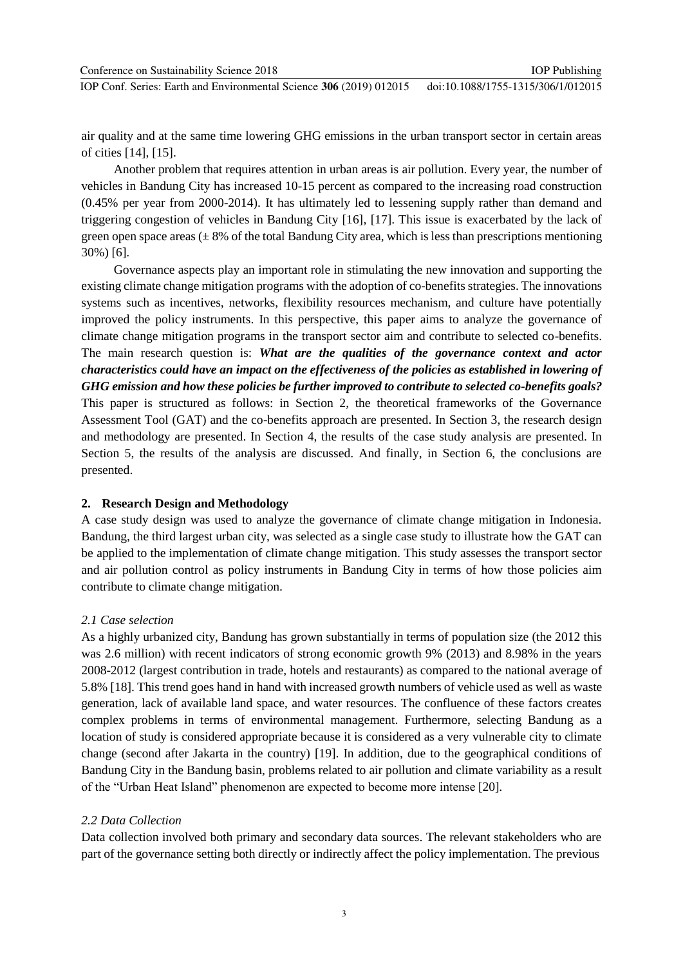Conference on Sustainability Science 2018 IOP Conf. Series: Earth and Environmental Science **306** (2019) 012015 IOP Publishing doi:10.1088/1755-1315/306/1/012015

air quality and at the same time lowering GHG emissions in the urban transport sector in certain areas of cities [14], [15].

Another problem that requires attention in urban areas is air pollution. Every year, the number of vehicles in Bandung City has increased 10-15 percent as compared to the increasing road construction (0.45% per year from 2000-2014). It has ultimately led to lessening supply rather than demand and triggering congestion of vehicles in Bandung City [16], [17]. This issue is exacerbated by the lack of green open space areas  $(\pm 8\%$  of the total Bandung City area, which is less than prescriptions mentioning 30%) [6].

Governance aspects play an important role in stimulating the new innovation and supporting the existing climate change mitigation programs with the adoption of co-benefits strategies. The innovations systems such as incentives, networks, flexibility resources mechanism, and culture have potentially improved the policy instruments. In this perspective, this paper aims to analyze the governance of climate change mitigation programs in the transport sector aim and contribute to selected co-benefits. The main research question is: *What are the qualities of the governance context and actor characteristics could have an impact on the effectiveness of the policies as established in lowering of GHG emission and how these policies be further improved to contribute to selected co-benefits goals?*  This paper is structured as follows: in Section 2, the theoretical frameworks of the Governance Assessment Tool (GAT) and the co-benefits approach are presented. In Section 3, the research design and methodology are presented. In Section 4, the results of the case study analysis are presented. In Section 5, the results of the analysis are discussed. And finally, in Section 6, the conclusions are presented.

#### **2. Research Design and Methodology**

A case study design was used to analyze the governance of climate change mitigation in Indonesia. Bandung, the third largest urban city, was selected as a single case study to illustrate how the GAT can be applied to the implementation of climate change mitigation. This study assesses the transport sector and air pollution control as policy instruments in Bandung City in terms of how those policies aim contribute to climate change mitigation.

#### *2.1 Case selection*

As a highly urbanized city, Bandung has grown substantially in terms of population size (the 2012 this was 2.6 million) with recent indicators of strong economic growth 9% (2013) and 8.98% in the years 2008-2012 (largest contribution in trade, hotels and restaurants) as compared to the national average of 5.8% [18]. This trend goes hand in hand with increased growth numbers of vehicle used as well as waste generation, lack of available land space, and water resources. The confluence of these factors creates complex problems in terms of environmental management. Furthermore, selecting Bandung as a location of study is considered appropriate because it is considered as a very vulnerable city to climate change (second after Jakarta in the country) [19]. In addition, due to the geographical conditions of Bandung City in the Bandung basin, problems related to air pollution and climate variability as a result of the "Urban Heat Island" phenomenon are expected to become more intense [20].

#### *2.2 Data Collection*

Data collection involved both primary and secondary data sources. The relevant stakeholders who are part of the governance setting both directly or indirectly affect the policy implementation. The previous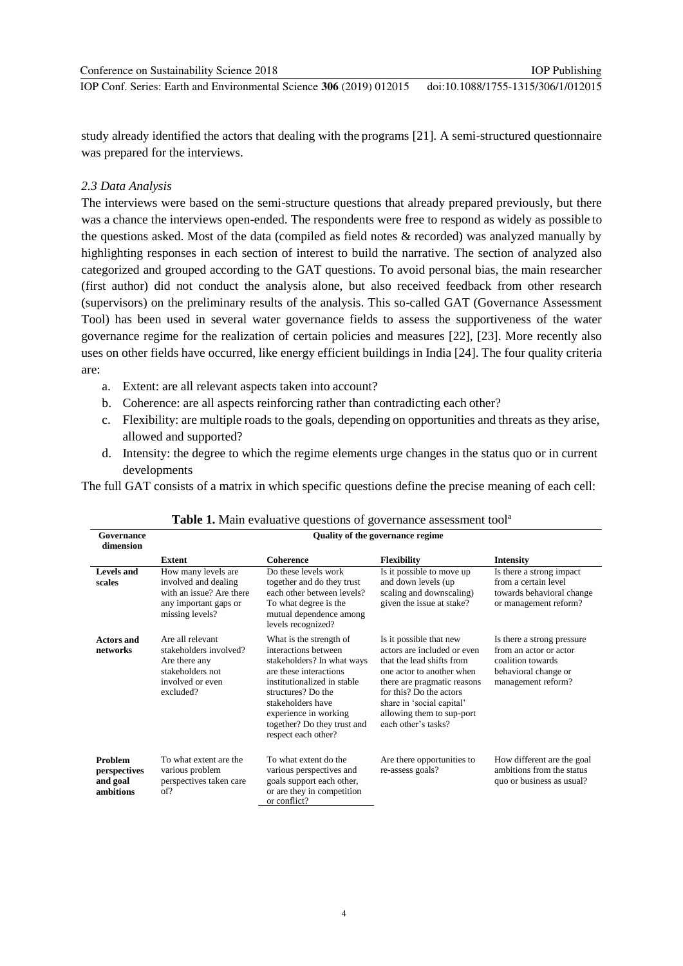study already identified the actors that dealing with the programs [21]. A semi-structured questionnaire was prepared for the interviews.

#### *2.3 Data Analysis*

The interviews were based on the semi-structure questions that already prepared previously, but there was a chance the interviews open-ended. The respondents were free to respond as widely as possible to the questions asked. Most of the data (compiled as field notes & recorded) was analyzed manually by highlighting responses in each section of interest to build the narrative. The section of analyzed also categorized and grouped according to the GAT questions. To avoid personal bias, the main researcher (first author) did not conduct the analysis alone, but also received feedback from other research (supervisors) on the preliminary results of the analysis. This so-called GAT (Governance Assessment Tool) has been used in several water governance fields to assess the supportiveness of the water governance regime for the realization of certain policies and measures [22], [23]. More recently also uses on other fields have occurred, like energy efficient buildings in India [24]. The four quality criteria are:

- a. Extent: are all relevant aspects taken into account?
- b. Coherence: are all aspects reinforcing rather than contradicting each other?
- c. Flexibility: are multiple roads to the goals, depending on opportunities and threats as they arise, allowed and supported?
- d. Intensity: the degree to which the regime elements urge changes in the status quo or in current developments

The full GAT consists of a matrix in which specific questions define the precise meaning of each cell:

| Governance<br>dimension                                 | <b>Quality of the governance regime</b>                                                                             |                                                                                                                                                                                                                                                                  |                                                                                                                                                                                                                                                             |                                                                                                                         |  |  |
|---------------------------------------------------------|---------------------------------------------------------------------------------------------------------------------|------------------------------------------------------------------------------------------------------------------------------------------------------------------------------------------------------------------------------------------------------------------|-------------------------------------------------------------------------------------------------------------------------------------------------------------------------------------------------------------------------------------------------------------|-------------------------------------------------------------------------------------------------------------------------|--|--|
|                                                         | Extent                                                                                                              | Coherence                                                                                                                                                                                                                                                        | <b>Flexibility</b>                                                                                                                                                                                                                                          | <b>Intensity</b>                                                                                                        |  |  |
| Levels and<br>scales                                    | How many levels are<br>involved and dealing<br>with an issue? Are there<br>any important gaps or<br>missing levels? | Do these levels work<br>together and do they trust<br>each other between levels?<br>To what degree is the<br>mutual dependence among<br>levels recognized?                                                                                                       | Is it possible to move up<br>and down levels (up)<br>scaling and downscaling)<br>given the issue at stake?                                                                                                                                                  | Is there a strong impact<br>from a certain level<br>towards behavioral change<br>or management reform?                  |  |  |
| <b>Actors and</b><br>networks                           | Are all relevant<br>stakeholders involved?<br>Are there any<br>stakeholders not<br>involved or even<br>excluded?    | What is the strength of<br>interactions between<br>stakeholders? In what ways<br>are these interactions<br>institutionalized in stable<br>structures? Do the<br>stakeholders have<br>experience in working<br>together? Do they trust and<br>respect each other? | Is it possible that new<br>actors are included or even<br>that the lead shifts from<br>one actor to another when<br>there are pragmatic reasons<br>for this? Do the actors<br>share in 'social capital'<br>allowing them to sup-port<br>each other's tasks? | Is there a strong pressure<br>from an actor or actor<br>coalition towards<br>behavioral change or<br>management reform? |  |  |
| <b>Problem</b><br>perspectives<br>and goal<br>ambitions | To what extent are the<br>various problem<br>perspectives taken care<br>of?                                         | To what extent do the<br>various perspectives and<br>goals support each other,<br>or are they in competition<br>or conflict?                                                                                                                                     | Are there opportunities to<br>re-assess goals?                                                                                                                                                                                                              | How different are the goal<br>ambitions from the status<br>quo or business as usual?                                    |  |  |

|  |  |  |  |  |  | Table 1. Main evaluative questions of governance assessment tool <sup>a</sup> |  |
|--|--|--|--|--|--|-------------------------------------------------------------------------------|--|
|--|--|--|--|--|--|-------------------------------------------------------------------------------|--|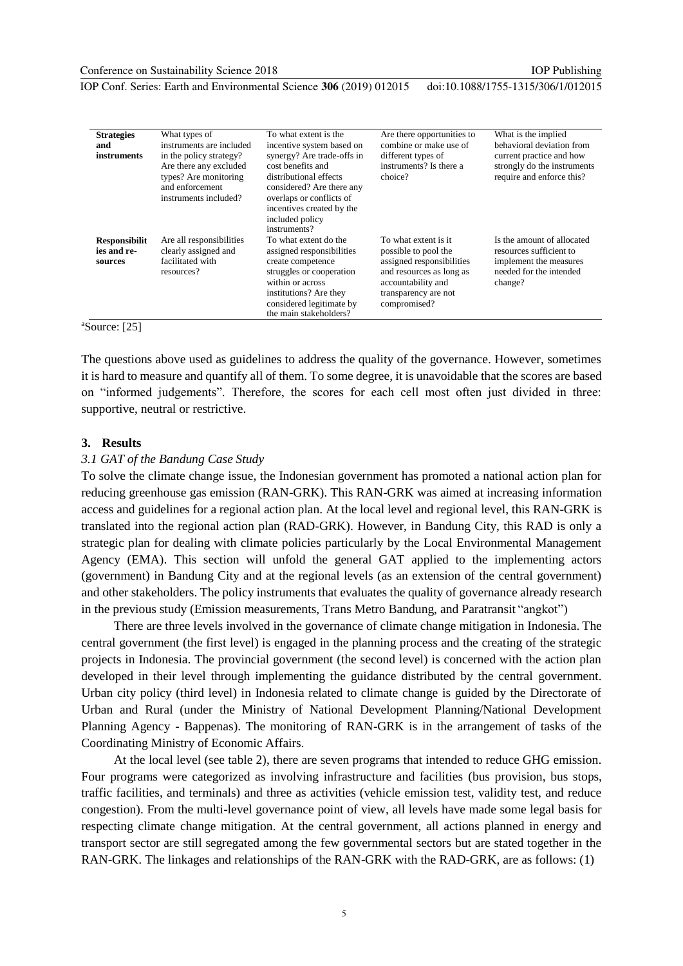IOP Publishing

IOP Conf. Series: Earth and Environmental Science **306** (2019) 012015

doi:10.1088/1755-1315/306/1/012015

| <b>Strategies</b><br>and<br>instruments        | What types of<br>instruments are included<br>in the policy strategy?<br>Are there any excluded<br>types? Are monitoring<br>and enforcement<br>instruments included? | To what extent is the<br>incentive system based on<br>synergy? Are trade-offs in<br>cost benefits and<br>distributional effects<br>considered? Are there any<br>overlaps or conflicts of<br>incentives created by the<br>included policy<br>instruments? | Are there opportunities to<br>combine or make use of<br>different types of<br>instruments? Is there a<br>choice?                                                    | What is the implied<br>behavioral deviation from<br>current practice and how<br>strongly do the instruments<br>require and enforce this? |
|------------------------------------------------|---------------------------------------------------------------------------------------------------------------------------------------------------------------------|----------------------------------------------------------------------------------------------------------------------------------------------------------------------------------------------------------------------------------------------------------|---------------------------------------------------------------------------------------------------------------------------------------------------------------------|------------------------------------------------------------------------------------------------------------------------------------------|
| <b>Responsibilit</b><br>ies and re-<br>sources | Are all responsibilities<br>clearly assigned and<br>facilitated with<br>resources?                                                                                  | To what extent do the<br>assigned responsibilities<br>create competence<br>struggles or cooperation<br>within or across<br>institutions? Are they<br>considered legitimate by<br>the main stakeholders?                                                  | To what extent is it<br>possible to pool the<br>assigned responsibilities<br>and resources as long as<br>accountability and<br>transparency are not<br>compromised? | Is the amount of allocated<br>resources sufficient to<br>implement the measures<br>needed for the intended<br>change?                    |

 $a$ Source: [25]

The questions above used as guidelines to address the quality of the governance. However, sometimes it is hard to measure and quantify all of them. To some degree, it is unavoidable that the scores are based on "informed judgements". Therefore, the scores for each cell most often just divided in three: supportive, neutral or restrictive.

#### **3. Results**

#### *3.1 GAT of the Bandung Case Study*

To solve the climate change issue, the Indonesian government has promoted a national action plan for reducing greenhouse gas emission (RAN-GRK). This RAN-GRK was aimed at increasing information access and guidelines for a regional action plan. At the local level and regional level, this RAN-GRK is translated into the regional action plan (RAD-GRK). However, in Bandung City, this RAD is only a strategic plan for dealing with climate policies particularly by the Local Environmental Management Agency (EMA). This section will unfold the general GAT applied to the implementing actors (government) in Bandung City and at the regional levels (as an extension of the central government) and other stakeholders. The policy instruments that evaluates the quality of governance already research in the previous study (Emission measurements, Trans Metro Bandung, and Paratransit "angkot")

There are three levels involved in the governance of climate change mitigation in Indonesia. The central government (the first level) is engaged in the planning process and the creating of the strategic projects in Indonesia. The provincial government (the second level) is concerned with the action plan developed in their level through implementing the guidance distributed by the central government. Urban city policy (third level) in Indonesia related to climate change is guided by the Directorate of Urban and Rural (under the Ministry of National Development Planning/National Development Planning Agency - Bappenas). The monitoring of RAN-GRK is in the arrangement of tasks of the Coordinating Ministry of Economic Affairs.

At the local level (see table 2), there are seven programs that intended to reduce GHG emission. Four programs were categorized as involving infrastructure and facilities (bus provision, bus stops, traffic facilities, and terminals) and three as activities (vehicle emission test, validity test, and reduce congestion). From the multi-level governance point of view, all levels have made some legal basis for respecting climate change mitigation. At the central government, all actions planned in energy and transport sector are still segregated among the few governmental sectors but are stated together in the RAN-GRK. The linkages and relationships of the RAN-GRK with the RAD-GRK, are as follows: (1)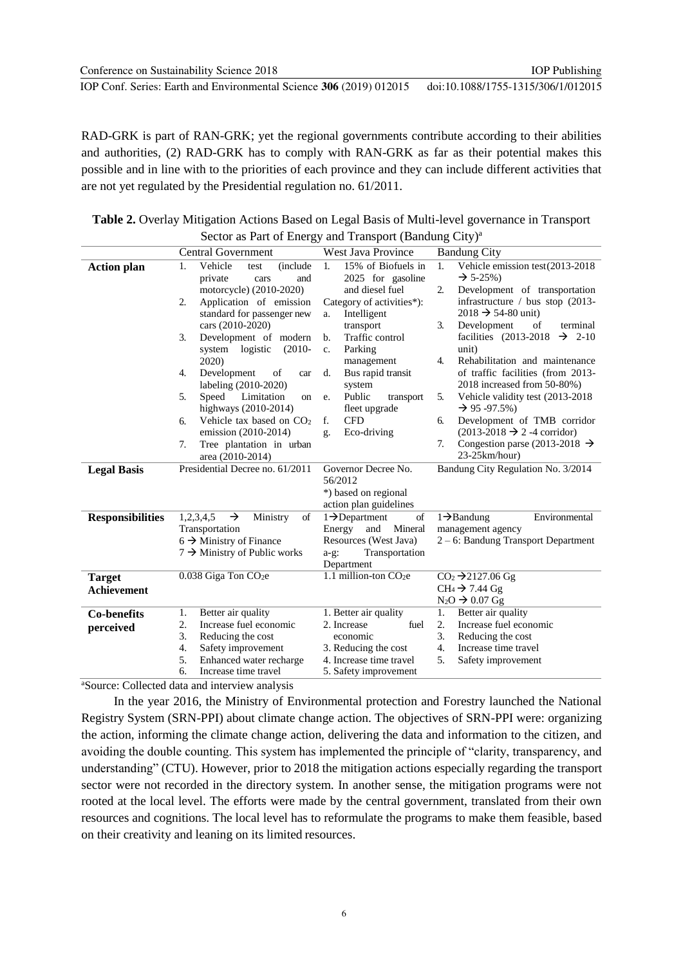RAD-GRK is part of RAN-GRK; yet the regional governments contribute according to their abilities and authorities, (2) RAD-GRK has to comply with RAN-GRK as far as their potential makes this possible and in line with to the priorities of each province and they can include different activities that are not yet regulated by the Presidential regulation no. 61/2011.

| <b>Table 2.</b> Overlay Mitigation Actions Based on Legal Basis of Multi-level governance in Transport |
|--------------------------------------------------------------------------------------------------------|
| Sector as Part of Energy and Transport (Bandung City) <sup>a</sup>                                     |

|                         | <b>Central Government</b>                                           | West Java Province                                 | <b>Bandung City</b>                                                 |
|-------------------------|---------------------------------------------------------------------|----------------------------------------------------|---------------------------------------------------------------------|
| <b>Action plan</b>      | Vehicle<br><i>(include)</i><br>1.<br>test<br>private<br>and<br>cars | 15% of Biofuels in<br>1.<br>2025 for gasoline      | Vehicle emission test(2013-2018<br>1.<br>$\rightarrow$ 5-25%)       |
|                         | motorcycle) (2010-2020)                                             | and diesel fuel                                    | Development of transportation<br>$\overline{2}$ .                   |
|                         | Application of emission<br>2.                                       | Category of activities*):                          | infrastructure / bus stop (2013-                                    |
|                         | standard for passenger new                                          | Intelligent<br>a.                                  | $2018 \rightarrow 54-80$ unit)                                      |
|                         | cars (2010-2020)                                                    | transport                                          | Development<br>3.<br>of<br>terminal                                 |
|                         | Development of modern<br>3.<br>system logistic<br>$(2010 -$         | Traffic control<br>b.<br>Parking<br>$\mathbf{c}$ . | facilities (2013-2018)<br>$\rightarrow 2-10$<br>unit)               |
|                         | 2020)                                                               | management                                         | Rehabilitation and maintenance<br>$\overline{4}$ .                  |
|                         | Development<br>4.<br>of<br>car                                      | Bus rapid transit<br>d.                            | of traffic facilities (from 2013-                                   |
|                         | labeling (2010-2020)                                                | system                                             | 2018 increased from 50-80%)                                         |
|                         | Limitation<br>5.<br>Speed<br>on<br>highways $(2010-2014)$           | Public<br>transport<br>e.<br>fleet upgrade         | Vehicle validity test (2013-2018)<br>5.<br>$\rightarrow$ 95 -97.5%) |
|                         | Vehicle tax based on CO <sub>2</sub><br>б.                          | <b>CFD</b><br>f.                                   | Development of TMB corridor<br>6.                                   |
|                         | emission (2010-2014)                                                | Eco-driving<br>g.                                  | $(2013-2018 \rightarrow 2 - 4$ corridor)                            |
|                         | Tree plantation in urban<br>7.<br>area (2010-2014)                  |                                                    | 7.<br>Congestion parse (2013-2018 $\rightarrow$<br>$23-25km/hour$   |
| <b>Legal Basis</b>      | Presidential Decree no. 61/2011                                     | Governor Decree No.                                | Bandung City Regulation No. 3/2014                                  |
|                         |                                                                     | 56/2012                                            |                                                                     |
|                         |                                                                     | *) based on regional                               |                                                                     |
|                         |                                                                     | action plan guidelines                             |                                                                     |
| <b>Responsibilities</b> | 1,2,3,4,5<br>Ministry<br>$\rightarrow$<br>of                        | $1 \rightarrow$ Department<br>of                   | Environmental<br>$1 \rightarrow$ Bandung                            |
|                         | Transportation                                                      | Energy<br>and<br>Mineral                           | management agency                                                   |
|                         | $6 \rightarrow$ Ministry of Finance                                 | Resources (West Java)                              | $2 - 6$ : Bandung Transport Department                              |
|                         | $7 \rightarrow$ Ministry of Public works                            | Transportation<br>$a-g$ :<br>Department            |                                                                     |
| <b>Target</b>           | 0.038 Giga Ton CO <sub>2</sub> e                                    | 1.1 million-ton $CO2e$                             | $CO2 \rightarrow 2127.06$ Gg                                        |
| <b>Achievement</b>      |                                                                     |                                                    | $CH_4$ $\rightarrow$ 7.44 Gg                                        |
|                         |                                                                     |                                                    | $N_2O \rightarrow 0.07$ Gg                                          |
| <b>Co-benefits</b>      | Better air quality<br>1.                                            | 1. Better air quality                              | 1.<br>Better air quality                                            |
| perceived               | Increase fuel economic<br>2.<br>3.                                  | 2. Increase<br>fuel                                | 2.<br>Increase fuel economic<br>3.                                  |
|                         | Reducing the cost<br>4.<br>Safety improvement                       | economic<br>3. Reducing the cost                   | Reducing the cost<br>$\overline{4}$ .<br>Increase time travel       |
|                         | 5.<br>Enhanced water recharge                                       | 4. Increase time travel                            | 5.<br>Safety improvement                                            |
|                         | б.<br>Increase time travel                                          | 5. Safety improvement                              |                                                                     |

<sup>a</sup>Source: Collected data and interview analysis

In the year 2016, the Ministry of Environmental protection and Forestry launched the National Registry System (SRN-PPI) about climate change action. The objectives of SRN-PPI were: organizing the action, informing the climate change action, delivering the data and information to the citizen, and avoiding the double counting. This system has implemented the principle of "clarity, transparency, and understanding" (CTU). However, prior to 2018 the mitigation actions especially regarding the transport sector were not recorded in the directory system. In another sense, the mitigation programs were not rooted at the local level. The efforts were made by the central government, translated from their own resources and cognitions. The local level has to reformulate the programs to make them feasible, based on their creativity and leaning on its limited resources.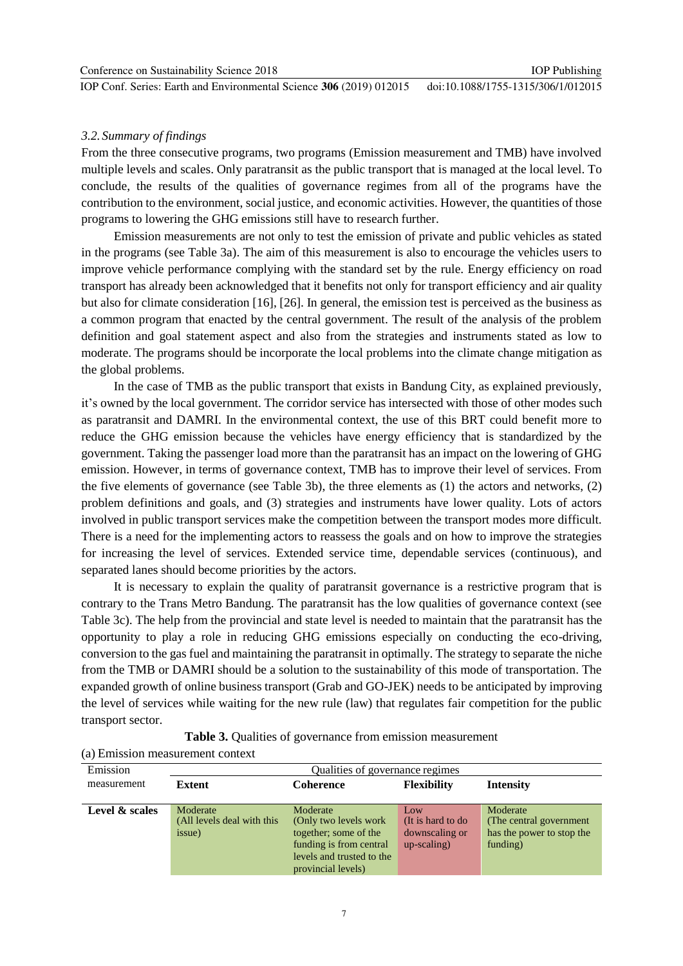IOP Conf. Series: Earth and Environmental Science **306** (2019) 012015

*3.2. Summary of findings*

From the three consecutive programs, two programs (Emission measurement and TMB) have involved multiple levels and scales. Only paratransit as the public transport that is managed at the local level. To conclude, the results of the qualities of governance regimes from all of the programs have the contribution to the environment, social justice, and economic activities. However, the quantities of those programs to lowering the GHG emissions still have to research further.

Emission measurements are not only to test the emission of private and public vehicles as stated in the programs (see Table 3a). The aim of this measurement is also to encourage the vehicles users to improve vehicle performance complying with the standard set by the rule. Energy efficiency on road transport has already been acknowledged that it benefits not only for transport efficiency and air quality but also for climate consideration [16], [26]. In general, the emission test is perceived as the business as a common program that enacted by the central government. The result of the analysis of the problem definition and goal statement aspect and also from the strategies and instruments stated as low to moderate. The programs should be incorporate the local problems into the climate change mitigation as the global problems.

In the case of TMB as the public transport that exists in Bandung City, as explained previously, it"s owned by the local government. The corridor service has intersected with those of other modes such as paratransit and DAMRI. In the environmental context, the use of this BRT could benefit more to reduce the GHG emission because the vehicles have energy efficiency that is standardized by the government. Taking the passenger load more than the paratransit has an impact on the lowering of GHG emission. However, in terms of governance context, TMB has to improve their level of services. From the five elements of governance (see Table 3b), the three elements as (1) the actors and networks, (2) problem definitions and goals, and (3) strategies and instruments have lower quality. Lots of actors involved in public transport services make the competition between the transport modes more difficult. There is a need for the implementing actors to reassess the goals and on how to improve the strategies for increasing the level of services. Extended service time, dependable services (continuous), and separated lanes should become priorities by the actors.

It is necessary to explain the quality of paratransit governance is a restrictive program that is contrary to the Trans Metro Bandung. The paratransit has the low qualities of governance context (see Table 3c). The help from the provincial and state level is needed to maintain that the paratransit has the opportunity to play a role in reducing GHG emissions especially on conducting the eco-driving, conversion to the gas fuel and maintaining the paratransit in optimally. The strategy to separate the niche from the TMB or DAMRI should be a solution to the sustainability of this mode of transportation. The expanded growth of online business transport (Grab and GO-JEK) needs to be anticipated by improving the level of services while waiting for the new rule (law) that regulates fair competition for the public transport sector.

**Table 3.** Oualities of governance from emission measurement

(a) Emission measurement context

| Emission       | Qualities of governance regimes |                           |                    |                           |  |
|----------------|---------------------------------|---------------------------|--------------------|---------------------------|--|
| measurement    | <b>Extent</b>                   | Coherence                 | <b>Flexibility</b> | <b>Intensity</b>          |  |
|                |                                 |                           |                    |                           |  |
| Level & scales | Moderate                        | Moderate                  | Low                | Moderate                  |  |
|                | (All levels deal with this      | (Only two levels work)    | (It is hard to do  | (The central government)  |  |
|                | issue)                          | together; some of the     | downscaling or     | has the power to stop the |  |
|                |                                 | funding is from central   | $up-scaling)$      | funding)                  |  |
|                |                                 | levels and trusted to the |                    |                           |  |
|                |                                 | provincial levels)        |                    |                           |  |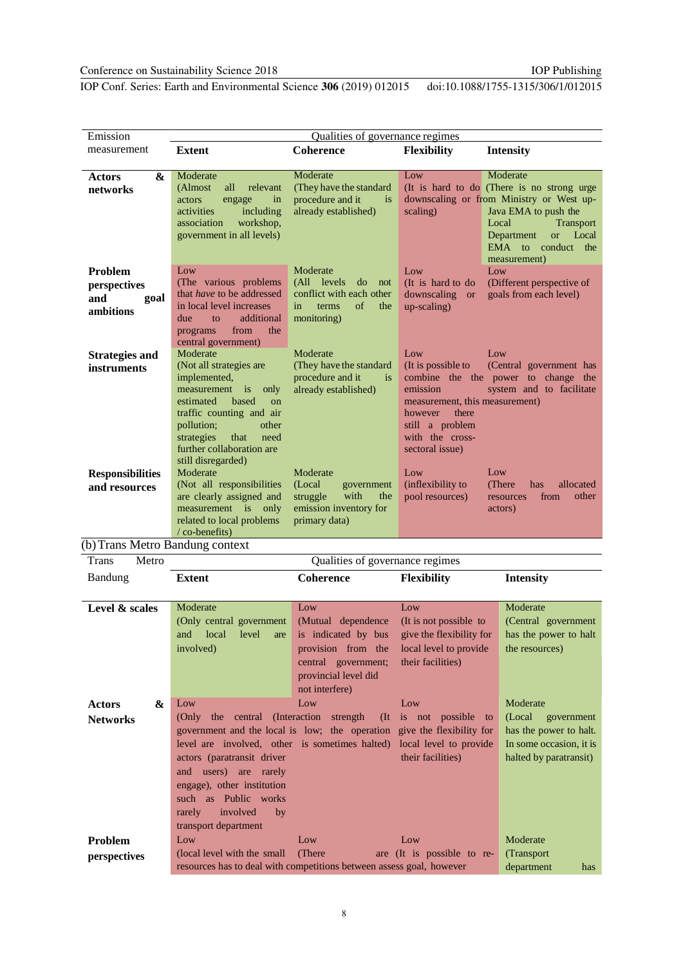IOP Conf. Series: Earth and Environmental Science **306** (2019) 012015

doi:10.1088/1755-1315/306/1/012015

| Emission                | Qualities of governance regimes                               |                                                |                                     |                                                                  |
|-------------------------|---------------------------------------------------------------|------------------------------------------------|-------------------------------------|------------------------------------------------------------------|
| measurement             | <b>Extent</b>                                                 | <b>Coherence</b>                               | <b>Flexibility</b>                  | <b>Intensity</b>                                                 |
|                         |                                                               |                                                |                                     |                                                                  |
| &<br>Actors             | Moderate                                                      | Moderate                                       | Low                                 | Moderate                                                         |
| networks                | all<br>relevant<br>(Almost)                                   | (They have the standard)                       |                                     | (It is hard to do (There is no strong urge                       |
|                         | in<br>actors<br>engage<br>activities<br>including             | procedure and it<br>is<br>already established) | scaling)                            | downscaling or from Ministry or West up-<br>Java EMA to push the |
|                         | workshop,<br>association                                      |                                                |                                     | Local<br><b>Transport</b>                                        |
|                         | government in all levels)                                     |                                                |                                     | Department<br>Local<br><b>or</b>                                 |
|                         |                                                               |                                                |                                     | EMA to conduct<br>the                                            |
|                         |                                                               |                                                |                                     | measurement)                                                     |
| <b>Problem</b>          | Low                                                           | Moderate                                       | Low                                 | Low                                                              |
| perspectives            | (The various problems)                                        | (All levels<br>do<br>not                       | (It is hard to do                   | (Different perspective of                                        |
| and<br>goal             | that <i>have</i> to be addressed                              | conflict with each other                       | downscaling or                      | goals from each level)                                           |
| ambitions               | in local level increases<br>additional<br>due<br>$f_{\Omega}$ | $\sigma$ f<br>in<br>terms<br>the               | up-scaling)                         |                                                                  |
|                         | the<br>from<br>programs                                       | monitoring)                                    |                                     |                                                                  |
|                         | central government)                                           |                                                |                                     |                                                                  |
| <b>Strategies and</b>   | Moderate                                                      | Moderate                                       | Low                                 | Low                                                              |
| instruments             | (Not all strategies are                                       | (They have the standard                        | (It is possible to                  | (Central government has                                          |
|                         | implemented,                                                  | procedure and it<br>$\overline{1}$             |                                     | combine the the power to change the                              |
|                         | measurement is<br>only                                        | already established)                           | emission                            | system and to facilitate                                         |
|                         | estimated<br>based<br>$_{\rm on}$                             |                                                | measurement, this measurement)      |                                                                  |
|                         | traffic counting and air<br>pollution;<br>other               |                                                | there<br>however<br>still a problem |                                                                  |
|                         | strategies<br>that<br>need                                    |                                                | with the cross-                     |                                                                  |
|                         | further collaboration are                                     |                                                | sectoral issue)                     |                                                                  |
|                         | still disregarded)                                            |                                                |                                     |                                                                  |
| <b>Responsibilities</b> | Moderate                                                      | Moderate                                       | Low                                 | Low                                                              |
| and resources           | (Not all responsibilities                                     | (Local<br>government                           | (inflexibility to                   | (There)<br>allocated<br>has                                      |
|                         | are clearly assigned and                                      | with<br>struggle<br>the                        | pool resources)                     | from<br>other<br>resources                                       |
|                         | measurement is only                                           | emission inventory for                         |                                     | actors)                                                          |
|                         | related to local problems<br>$\sqrt{\text{co-benefits}}$      | primary data)                                  |                                     |                                                                  |

(b)Trans Metro Bandung context

Trans Metro Qualities of governance regimes Bandung **Extent Coherence Flexibility Intensity** Level & scales Moderate (Only central government and local level are involved) Low Low Low (Mutual dependence (It is not possible to is indicated by bus give the flexibility for provision from the local level to provide central government; their facilities) provincial level did not interfere) Moderate (Central government has the power to halt the resources)

| &<br><b>Actors</b> | Low<br>Low<br>Low                                                       | Moderate                |
|--------------------|-------------------------------------------------------------------------|-------------------------|
| <b>Networks</b>    | (Only the central (Interaction strength) (It is not possible to         | (Local)<br>government   |
|                    | government and the local is low; the operation give the flexibility for | has the power to halt.  |
|                    | level are involved, other is sometimes halted) local level to provide   | In some occasion, it is |
|                    | their facilities)<br>actors (paratransit driver)                        | halted by paratransit)  |
|                    | and users) are rarely                                                   |                         |
|                    | engage), other institution                                              |                         |
|                    | such as Public works                                                    |                         |
|                    | involved<br>rarely<br>by                                                |                         |
|                    | transport department                                                    |                         |
| <b>Problem</b>     | Low<br>Low<br>Low                                                       | Moderate                |
| perspectives       | (local level with the small (There)<br>are (It is possible to re-       | (Transport)             |
|                    | resources has to deal with competitions between assess goal, however    | department<br>has       |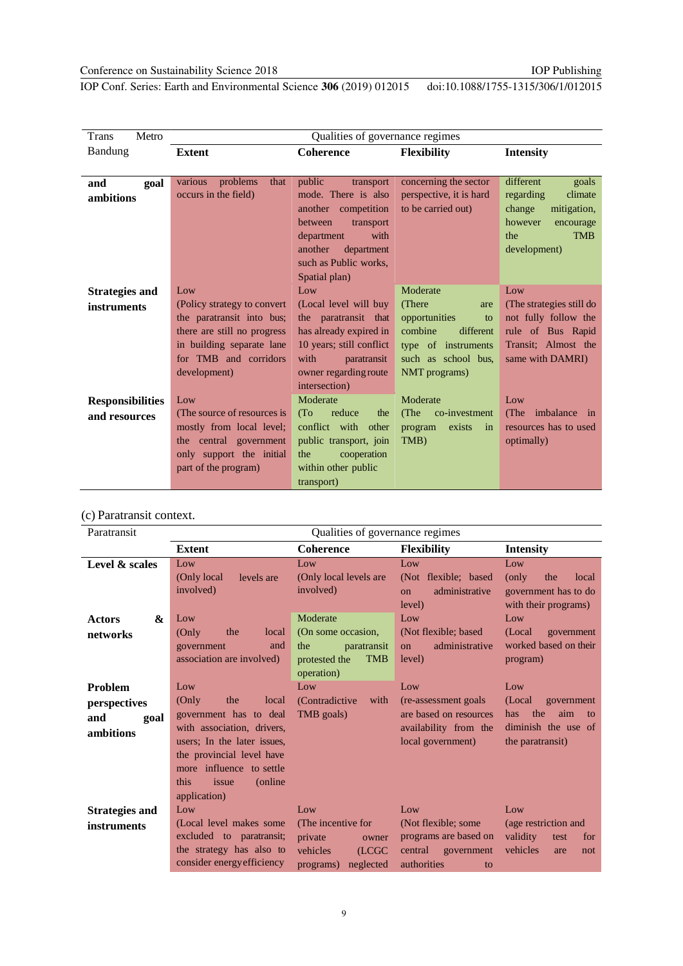IOP Conf. Series: Earth and Environmental Science **306** (2019) 012015 doi:10.1088/1755-1315/306/1/012015

| Metro<br><b>Trans</b>   |                                                          | Qualities of governance regimes                |                                             |                                           |
|-------------------------|----------------------------------------------------------|------------------------------------------------|---------------------------------------------|-------------------------------------------|
| <b>Bandung</b>          | <b>Extent</b>                                            | <b>Coherence</b>                               | <b>Flexibility</b>                          | <b>Intensity</b>                          |
|                         |                                                          |                                                |                                             |                                           |
| and<br>goal             | problems<br>various<br>that                              | public<br>transport                            | concerning the sector                       | different<br>goals                        |
| ambitions               | occurs in the field)                                     | mode. There is also                            | perspective, it is hard                     | regarding<br>climate                      |
|                         |                                                          | another competition                            | to be carried out)                          | mitigation,<br>change                     |
|                         |                                                          | between<br>transport                           |                                             | however<br>encourage                      |
|                         |                                                          | with<br>department                             |                                             | <b>TMB</b><br>the                         |
|                         |                                                          | another<br>department                          |                                             | development)                              |
|                         |                                                          | such as Public works,                          |                                             |                                           |
|                         |                                                          | Spatial plan)                                  | Moderate                                    |                                           |
| <b>Strategies and</b>   | Low                                                      | Low                                            |                                             | Low                                       |
| instruments             | (Policy strategy to convert                              | (Local level will buy                          | (There)<br>are                              | (The strategies still do                  |
|                         | the paratransit into bus;<br>there are still no progress | the paratransit that<br>has already expired in | opportunities<br>to<br>combine<br>different | not fully follow the<br>rule of Bus Rapid |
|                         | in building separate lane                                | 10 years; still conflict                       | type of instruments                         | Transit; Almost the                       |
|                         | for TMB and corridors                                    | with<br>paratransit                            | such as school bus.                         | same with DAMRI)                          |
|                         | development)                                             | owner regarding route                          | NMT programs)                               |                                           |
|                         |                                                          | intersection)                                  |                                             |                                           |
| <b>Responsibilities</b> | Low                                                      | Moderate                                       | Moderate                                    | Low                                       |
| and resources           | (The source of resources is                              | reduce<br>(T <sub>O</sub> )<br>the             | (The<br>co-investment                       | (The<br>imbalance in                      |
|                         | mostly from local level;                                 | conflict with other                            | exists<br>program<br>in                     | resources has to used                     |
|                         | the central government                                   | public transport, join                         | TMB)                                        | optimally)                                |
|                         | only support the initial                                 | cooperation<br>the                             |                                             |                                           |
|                         | part of the program)                                     | within other public                            |                                             |                                           |
|                         |                                                          | transport)                                     |                                             |                                           |

### (c) Paratransit context.

| Paratransit                                                | Qualities of governance regimes                                                                                                                                                                                            |                                                                                                      |                                                                                                      |                                                                                                    |
|------------------------------------------------------------|----------------------------------------------------------------------------------------------------------------------------------------------------------------------------------------------------------------------------|------------------------------------------------------------------------------------------------------|------------------------------------------------------------------------------------------------------|----------------------------------------------------------------------------------------------------|
|                                                            | <b>Extent</b>                                                                                                                                                                                                              | <b>Coherence</b>                                                                                     | <b>Flexibility</b>                                                                                   | <b>Intensity</b>                                                                                   |
| Level & scales                                             | Low<br>(Only local)<br>levels are<br>involved)                                                                                                                                                                             | Low<br>(Only local levels are<br>involved)                                                           | Low<br>(Not flexible; based<br>administrative<br>$_{\rm on}$<br>level)                               | Low<br>(only)<br>the<br>local<br>government has to do<br>with their programs)                      |
| <b>Actors</b><br>&<br>networks                             | Low<br>local<br>(Only)<br>the<br>and<br>government<br>association are involved)                                                                                                                                            | Moderate<br>(On some occasion,<br>the<br>paratransit<br>protested the<br><b>TMB</b><br>operation)    | Low<br>(Not flexible; based)<br>administrative<br><sub>on</sub><br>level)                            | Low<br>government<br>(Local)<br>worked based on their<br>program)                                  |
| <b>Problem</b><br>perspectives<br>and<br>goal<br>ambitions | Low<br>(Only)<br>the<br>local<br>government has to deal<br>with association, drivers,<br>users: In the later issues,<br>the provincial level have<br>more influence to settle<br>this<br>(online)<br>issue<br>application) | Low<br>(Contradictive)<br>with<br>TMB goals)                                                         | Low<br>(re-assessment goals)<br>are based on resources<br>availability from the<br>local government) | Low<br>(Local)<br>government<br>the<br>aim<br>has<br>to<br>diminish the use of<br>the paratransit) |
| <b>Strategies and</b><br>instruments                       | Low<br>(Local level makes some)<br>excluded to paratransit;<br>the strategy has also to<br>consider energy efficiency                                                                                                      | Low<br>(The incentive for<br>private<br>owner<br>vehicles<br><b>(LCGC)</b><br>neglected<br>programs) | Low<br>(Not flexible; some)<br>programs are based on<br>central<br>government<br>authorities<br>to   | Low<br>(age restriction and<br>validity<br>test<br>for<br>vehicles<br>are<br>not                   |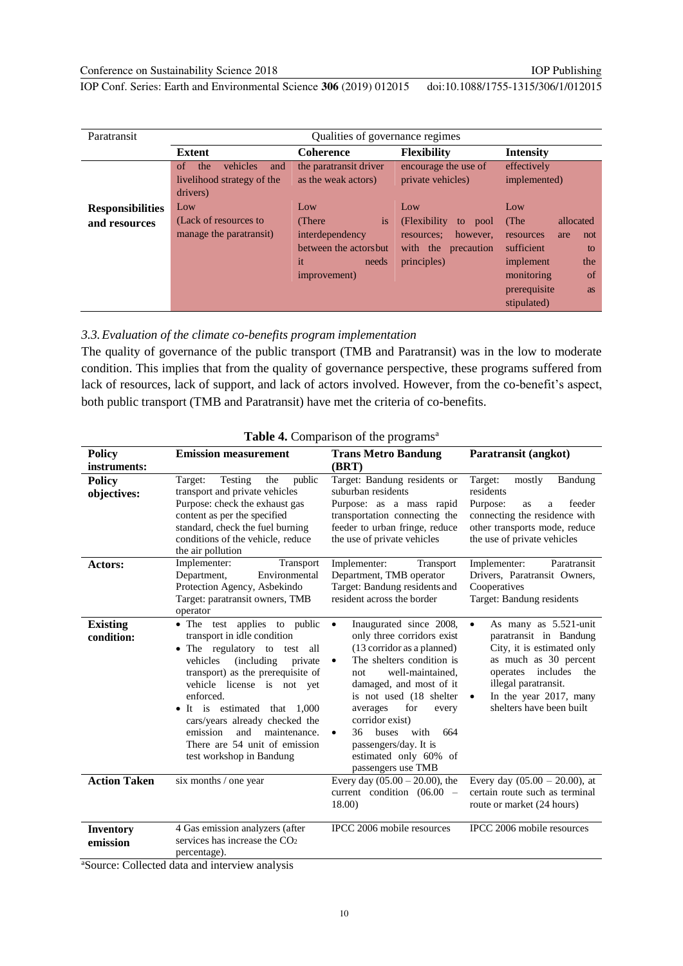| Paratransit             | Qualities of governance regimes         |                        |                             |                           |
|-------------------------|-----------------------------------------|------------------------|-----------------------------|---------------------------|
|                         | <b>Extent</b>                           | <b>Coherence</b>       | <b>Flexibility</b>          | <b>Intensity</b>          |
|                         | vehicles<br>the<br><sub>of</sub><br>and | the paratransit driver | encourage the use of        | effectively               |
|                         | livelihood strategy of the              | as the weak actors)    | private vehicles)           | implemented)              |
|                         | drivers)                                |                        |                             |                           |
| <b>Responsibilities</b> | Low                                     | Low                    | Low                         | Low                       |
| and resources           | (Lack of resources to                   | is<br>(There)          | (Flexibility)<br>to<br>pool | (The<br>allocated         |
|                         | manage the paratransit)                 | interdependency        | however.<br>resources:      | not<br>resources<br>are   |
|                         |                                         | between the actors but | with the<br>precaution      | sufficient<br>to          |
|                         |                                         | it<br>needs            | principles)                 | implement<br>the          |
|                         |                                         | improvement)           |                             | monitoring<br>of          |
|                         |                                         |                        |                             | prerequisite<br><b>as</b> |
|                         |                                         |                        |                             | stipulated)               |

#### *3.3.Evaluation of the climate co-benefits program implementation*

The quality of governance of the public transport (TMB and Paratransit) was in the low to moderate condition. This implies that from the quality of governance perspective, these programs suffered from lack of resources, lack of support, and lack of actors involved. However, from the co-benefit's aspect, both public transport (TMB and Paratransit) have met the criteria of co-benefits.

| <b>Policy</b>                 | <b>Emission measurement</b>                                                                                                                                                                                                                                                                                                                                                         | <b>Trans Metro Bandung</b>                                                                                                                                                                                                                                                                                                                                                              | Paratransit (angkot)                                                                                                                                                                                                                  |
|-------------------------------|-------------------------------------------------------------------------------------------------------------------------------------------------------------------------------------------------------------------------------------------------------------------------------------------------------------------------------------------------------------------------------------|-----------------------------------------------------------------------------------------------------------------------------------------------------------------------------------------------------------------------------------------------------------------------------------------------------------------------------------------------------------------------------------------|---------------------------------------------------------------------------------------------------------------------------------------------------------------------------------------------------------------------------------------|
| instruments:                  |                                                                                                                                                                                                                                                                                                                                                                                     | (BRT)                                                                                                                                                                                                                                                                                                                                                                                   |                                                                                                                                                                                                                                       |
| <b>Policy</b><br>objectives:  | <b>Testing</b><br>the<br>public<br>Target:<br>transport and private vehicles<br>Purpose: check the exhaust gas<br>content as per the specified<br>standard, check the fuel burning<br>conditions of the vehicle, reduce<br>the air pollution                                                                                                                                        | Target: Bandung residents or<br>suburban residents<br>Purpose: as a mass rapid<br>transportation connecting the<br>feeder to urban fringe, reduce<br>the use of private vehicles                                                                                                                                                                                                        | Target:<br>mostly<br>Bandung<br>residents<br>Purpose:<br>feeder<br>as<br>a<br>connecting the residence with<br>other transports mode, reduce<br>the use of private vehicles                                                           |
| Actors:                       | Implementer:<br><b>Transport</b><br>Department,<br>Environmental<br>Protection Agency, Asbekindo<br>Target: paratransit owners, TMB<br>operator                                                                                                                                                                                                                                     | Implementer:<br><b>Transport</b><br>Department, TMB operator<br>Target: Bandung residents and<br>resident across the border                                                                                                                                                                                                                                                             | Implementer:<br>Paratransit<br>Drivers, Paratransit Owners,<br>Cooperatives<br>Target: Bandung residents                                                                                                                              |
| <b>Existing</b><br>condition: | • The test applies to public<br>transport in idle condition<br>• The regulatory to test all<br>vehicles<br>(including)<br>private<br>transport) as the prerequisite of<br>vehicle license is not yet<br>enforced.<br>• It is estimated that 1,000<br>cars/years already checked the<br>and<br>emission<br>maintenance.<br>There are 54 unit of emission<br>test workshop in Bandung | Inaugurated since 2008,<br>$\bullet$<br>only three corridors exist<br>(13 corridor as a planned)<br>The shelters condition is<br>$\bullet$<br>well-maintained,<br>not<br>damaged, and most of it<br>is not used (18 shelter<br>for<br>averages<br>every<br>corridor exist)<br>36<br>with<br>664<br><b>buses</b><br>passengers/day. It is<br>estimated only 60% of<br>passengers use TMB | As many as 5.521-unit<br>$\bullet$<br>paratransit in Bandung<br>City, it is estimated only<br>as much as 30 percent<br>includes<br>operates<br>the<br>illegal paratransit.<br>In the year 2017, many<br>٠<br>shelters have been built |
| <b>Action Taken</b>           | six months / one year                                                                                                                                                                                                                                                                                                                                                               | Every day $(05.00 - 20.00)$ , the<br>current condition $(06.00 -$<br>18.00)                                                                                                                                                                                                                                                                                                             | Every day $(05.00 - 20.00)$ , at<br>certain route such as terminal<br>route or market (24 hours)                                                                                                                                      |
| <b>Inventory</b><br>emission  | 4 Gas emission analyzers (after<br>services has increase the $CO2$<br>percentage).                                                                                                                                                                                                                                                                                                  | IPCC 2006 mobile resources                                                                                                                                                                                                                                                                                                                                                              | IPCC 2006 mobile resources                                                                                                                                                                                                            |

|  | Table 4. Comparison of the programs <sup>a</sup> |  |  |
|--|--------------------------------------------------|--|--|
|--|--------------------------------------------------|--|--|

aSource: Collected data and interview analysis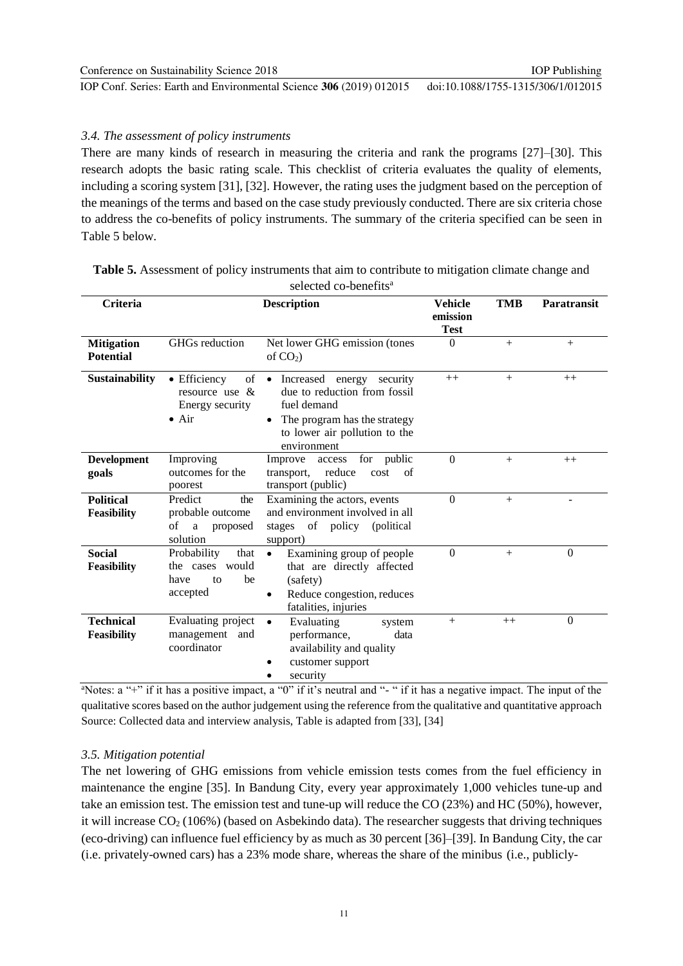#### *3.4. The assessment of policy instruments*

There are many kinds of research in measuring the criteria and rank the programs [27]–[30]. This research adopts the basic rating scale. This checklist of criteria evaluates the quality of elements, including a scoring system [31], [32]. However, the rating uses the judgment based on the perception of the meanings of the terms and based on the case study previously conducted. There are six criteria chose to address the co-benefits of policy instruments. The summary of the criteria specified can be seen in Table 5 below.

| Criteria                               | <b>Description</b>                                                       |                                                                                                                                                            | <b>Vehicle</b><br>emission<br><b>Test</b> | <b>TMB</b> | Paratransit    |
|----------------------------------------|--------------------------------------------------------------------------|------------------------------------------------------------------------------------------------------------------------------------------------------------|-------------------------------------------|------------|----------------|
| <b>Mitigation</b><br><b>Potential</b>  | GHGs reduction                                                           | Net lower GHG emission (tones<br>of $CO2$ )                                                                                                                | $\theta$                                  | $+$        | $+$            |
| <b>Sustainability</b>                  | • Efficiency<br>of<br>resource use &<br>Energy security<br>$\bullet$ Air | • Increased energy security<br>due to reduction from fossil<br>fuel demand<br>The program has the strategy<br>to lower air pollution to the<br>environment | $++$                                      | $+$        | $++$           |
| <b>Development</b><br>goals            | Improving<br>outcomes for the<br>poorest                                 | for public<br>Improve<br>access<br>reduce<br>cost<br>transport,<br>of<br>transport (public)                                                                | $\theta$                                  | $+$        | $++$           |
| <b>Political</b><br><b>Feasibility</b> | Predict<br>the<br>probable outcome<br>οf<br>a<br>proposed<br>solution    | Examining the actors, events<br>and environment involved in all<br>stages of policy (political<br>support)                                                 | $\Omega$                                  | $+$        | $\overline{a}$ |
| <b>Social</b><br><b>Feasibility</b>    | Probability<br>that<br>the cases would<br>be<br>have<br>to<br>accepted   | Examining group of people<br>$\bullet$<br>that are directly affected<br>(safety)<br>Reduce congestion, reduces<br>٠<br>fatalities, injuries                | $\Omega$                                  | $+$        | $\theta$       |
| <b>Technical</b><br>Feasibility        | Evaluating project<br>management and<br>coordinator                      | Evaluating<br>$\bullet$<br>system<br>performance,<br>data<br>availability and quality<br>customer support<br>security                                      | $+$                                       | $++$       | $\theta$       |

**Table 5.** Assessment of policy instruments that aim to contribute to mitigation climate change and selected co-benefits<sup>a</sup>

aNotes:  $a'' +''$  if it has a positive impact,  $a''0''$  if it's neutral and "-" if it has a negative impact. The input of the qualitative scores based on the author judgement using the reference from the qualitative and quantitative approach Source: Collected data and interview analysis, Table is adapted from [33], [34]

#### *3.5. Mitigation potential*

The net lowering of GHG emissions from vehicle emission tests comes from the fuel efficiency in maintenance the engine [35]. In Bandung City, every year approximately 1,000 vehicles tune-up and take an emission test. The emission test and tune-up will reduce the CO (23%) and HC (50%), however, it will increase  $CO<sub>2</sub>$  (106%) (based on Asbekindo data). The researcher suggests that driving techniques (eco-driving) can influence fuel efficiency by as much as 30 percent [36]–[39]. In Bandung City, the car (i.e. privately-owned cars) has a 23% mode share, whereas the share of the minibus (i.e., publicly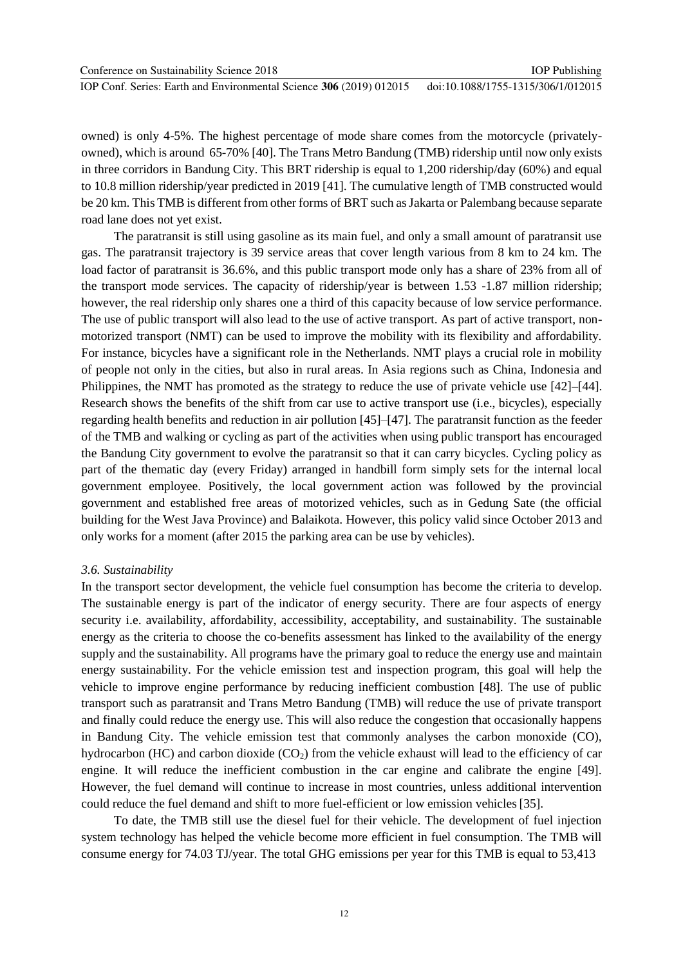owned) is only 4-5%. The highest percentage of mode share comes from the motorcycle (privatelyowned), which is around 65-70% [40]. The Trans Metro Bandung (TMB) ridership until now only exists in three corridors in Bandung City. This BRT ridership is equal to 1,200 ridership/day (60%) and equal to 10.8 million ridership/year predicted in 2019 [41]. The cumulative length of TMB constructed would be 20 km. This TMB is different from other forms of BRT such asJakarta or Palembang because separate road lane does not yet exist.

The paratransit is still using gasoline as its main fuel, and only a small amount of paratransit use gas. The paratransit trajectory is 39 service areas that cover length various from 8 km to 24 km. The load factor of paratransit is 36.6%, and this public transport mode only has a share of 23% from all of the transport mode services. The capacity of ridership/year is between 1.53 -1.87 million ridership; however, the real ridership only shares one a third of this capacity because of low service performance. The use of public transport will also lead to the use of active transport. As part of active transport, nonmotorized transport (NMT) can be used to improve the mobility with its flexibility and affordability. For instance, bicycles have a significant role in the Netherlands. NMT plays a crucial role in mobility of people not only in the cities, but also in rural areas. In Asia regions such as China, Indonesia and Philippines, the NMT has promoted as the strategy to reduce the use of private vehicle use [42]–[44]. Research shows the benefits of the shift from car use to active transport use (i.e., bicycles), especially regarding health benefits and reduction in air pollution [45]–[47]. The paratransit function as the feeder of the TMB and walking or cycling as part of the activities when using public transport has encouraged the Bandung City government to evolve the paratransit so that it can carry bicycles. Cycling policy as part of the thematic day (every Friday) arranged in handbill form simply sets for the internal local government employee. Positively, the local government action was followed by the provincial government and established free areas of motorized vehicles, such as in Gedung Sate (the official building for the West Java Province) and Balaikota. However, this policy valid since October 2013 and only works for a moment (after 2015 the parking area can be use by vehicles).

#### *3.6. Sustainability*

In the transport sector development, the vehicle fuel consumption has become the criteria to develop. The sustainable energy is part of the indicator of energy security. There are four aspects of energy security i.e. availability, affordability, accessibility, acceptability, and sustainability. The sustainable energy as the criteria to choose the co-benefits assessment has linked to the availability of the energy supply and the sustainability. All programs have the primary goal to reduce the energy use and maintain energy sustainability. For the vehicle emission test and inspection program, this goal will help the vehicle to improve engine performance by reducing inefficient combustion [48]. The use of public transport such as paratransit and Trans Metro Bandung (TMB) will reduce the use of private transport and finally could reduce the energy use. This will also reduce the congestion that occasionally happens in Bandung City. The vehicle emission test that commonly analyses the carbon monoxide (CO), hydrocarbon (HC) and carbon dioxide  $(CO<sub>2</sub>)$  from the vehicle exhaust will lead to the efficiency of car engine. It will reduce the inefficient combustion in the car engine and calibrate the engine [49]. However, the fuel demand will continue to increase in most countries, unless additional intervention could reduce the fuel demand and shift to more fuel-efficient or low emission vehicles[35].

To date, the TMB still use the diesel fuel for their vehicle. The development of fuel injection system technology has helped the vehicle become more efficient in fuel consumption. The TMB will consume energy for 74.03 TJ/year. The total GHG emissions per year for this TMB is equal to 53,413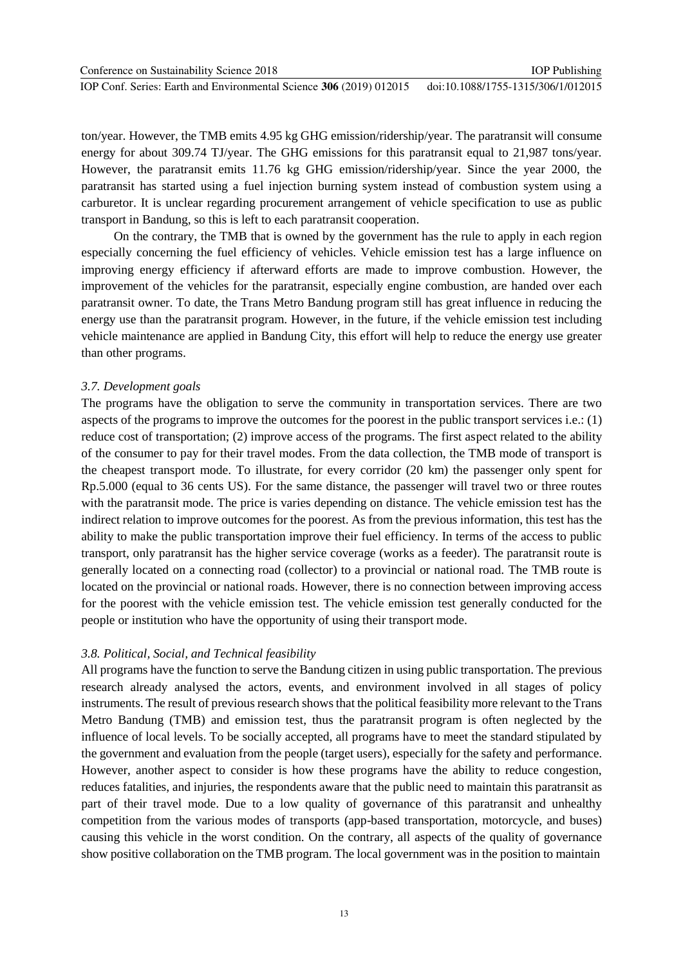ton/year. However, the TMB emits 4.95 kg GHG emission/ridership/year. The paratransit will consume energy for about 309.74 TJ/year. The GHG emissions for this paratransit equal to 21,987 tons/year. However, the paratransit emits 11.76 kg GHG emission/ridership/year. Since the year 2000, the paratransit has started using a fuel injection burning system instead of combustion system using a carburetor. It is unclear regarding procurement arrangement of vehicle specification to use as public transport in Bandung, so this is left to each paratransit cooperation.

On the contrary, the TMB that is owned by the government has the rule to apply in each region especially concerning the fuel efficiency of vehicles. Vehicle emission test has a large influence on improving energy efficiency if afterward efforts are made to improve combustion. However, the improvement of the vehicles for the paratransit, especially engine combustion, are handed over each paratransit owner. To date, the Trans Metro Bandung program still has great influence in reducing the energy use than the paratransit program. However, in the future, if the vehicle emission test including vehicle maintenance are applied in Bandung City, this effort will help to reduce the energy use greater than other programs.

#### *3.7. Development goals*

The programs have the obligation to serve the community in transportation services. There are two aspects of the programs to improve the outcomes for the poorest in the public transport services i.e.: (1) reduce cost of transportation; (2) improve access of the programs. The first aspect related to the ability of the consumer to pay for their travel modes. From the data collection, the TMB mode of transport is the cheapest transport mode. To illustrate, for every corridor (20 km) the passenger only spent for Rp.5.000 (equal to 36 cents US). For the same distance, the passenger will travel two or three routes with the paratransit mode. The price is varies depending on distance. The vehicle emission test has the indirect relation to improve outcomes for the poorest. As from the previous information, this test has the ability to make the public transportation improve their fuel efficiency. In terms of the access to public transport, only paratransit has the higher service coverage (works as a feeder). The paratransit route is generally located on a connecting road (collector) to a provincial or national road. The TMB route is located on the provincial or national roads. However, there is no connection between improving access for the poorest with the vehicle emission test. The vehicle emission test generally conducted for the people or institution who have the opportunity of using their transport mode.

#### *3.8. Political, Social, and Technical feasibility*

All programs have the function to serve the Bandung citizen in using public transportation. The previous research already analysed the actors, events, and environment involved in all stages of policy instruments. The result of previous research showsthat the political feasibility more relevant to the Trans Metro Bandung (TMB) and emission test, thus the paratransit program is often neglected by the influence of local levels. To be socially accepted, all programs have to meet the standard stipulated by the government and evaluation from the people (target users), especially for the safety and performance. However, another aspect to consider is how these programs have the ability to reduce congestion, reduces fatalities, and injuries, the respondents aware that the public need to maintain this paratransit as part of their travel mode. Due to a low quality of governance of this paratransit and unhealthy competition from the various modes of transports (app-based transportation, motorcycle, and buses) causing this vehicle in the worst condition. On the contrary, all aspects of the quality of governance show positive collaboration on the TMB program. The local government was in the position to maintain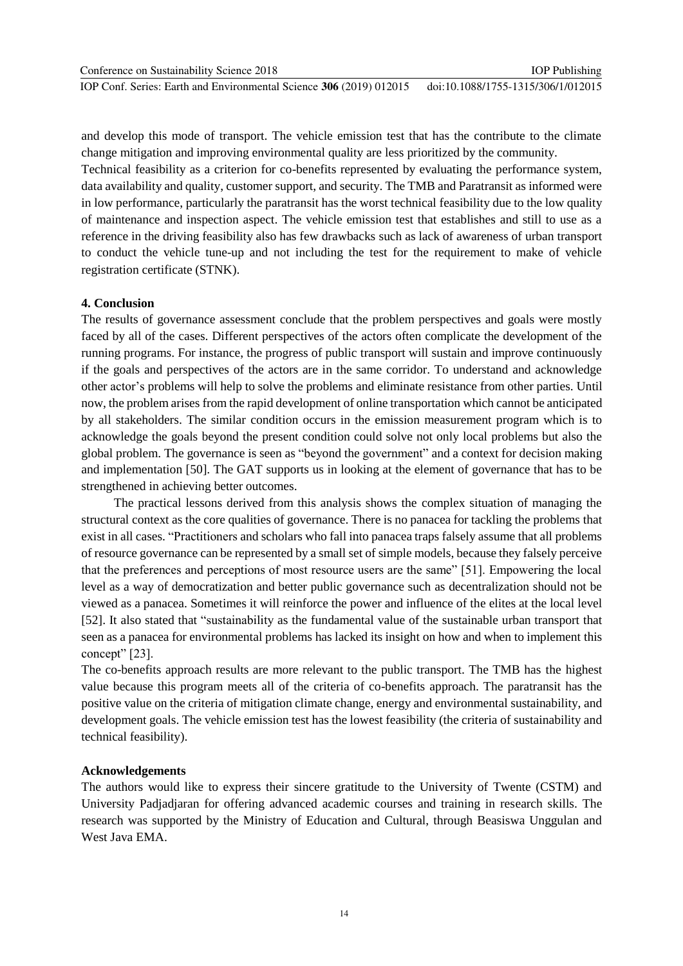IOP Conf. Series: Earth and Environmental Science **306** (2019) 012015

and develop this mode of transport. The vehicle emission test that has the contribute to the climate change mitigation and improving environmental quality are less prioritized by the community.

Technical feasibility as a criterion for co-benefits represented by evaluating the performance system, data availability and quality, customer support, and security. The TMB and Paratransit as informed were in low performance, particularly the paratransit has the worst technical feasibility due to the low quality of maintenance and inspection aspect. The vehicle emission test that establishes and still to use as a reference in the driving feasibility also has few drawbacks such as lack of awareness of urban transport to conduct the vehicle tune-up and not including the test for the requirement to make of vehicle registration certificate (STNK).

#### **4. Conclusion**

The results of governance assessment conclude that the problem perspectives and goals were mostly faced by all of the cases. Different perspectives of the actors often complicate the development of the running programs. For instance, the progress of public transport will sustain and improve continuously if the goals and perspectives of the actors are in the same corridor. To understand and acknowledge other actor"s problems will help to solve the problems and eliminate resistance from other parties. Until now, the problem arises from the rapid development of online transportation which cannot be anticipated by all stakeholders. The similar condition occurs in the emission measurement program which is to acknowledge the goals beyond the present condition could solve not only local problems but also the global problem. The governance is seen as "beyond the government" and a context for decision making and implementation [50]. The GAT supports us in looking at the element of governance that has to be strengthened in achieving better outcomes.

The practical lessons derived from this analysis shows the complex situation of managing the structural context as the core qualities of governance. There is no panacea for tackling the problems that exist in all cases. "Practitioners and scholars who fall into panacea traps falsely assume that all problems of resource governance can be represented by a small set of simple models, because they falsely perceive that the preferences and perceptions of most resource users are the same" [51]. Empowering the local level as a way of democratization and better public governance such as decentralization should not be viewed as a panacea. Sometimes it will reinforce the power and influence of the elites at the local level [52]. It also stated that "sustainability as the fundamental value of the sustainable urban transport that seen as a panacea for environmental problems has lacked its insight on how and when to implement this concept" [23].

The co-benefits approach results are more relevant to the public transport. The TMB has the highest value because this program meets all of the criteria of co-benefits approach. The paratransit has the positive value on the criteria of mitigation climate change, energy and environmental sustainability, and development goals. The vehicle emission test has the lowest feasibility (the criteria of sustainability and technical feasibility).

#### **Acknowledgements**

The authors would like to express their sincere gratitude to the University of Twente (CSTM) and University Padjadjaran for offering advanced academic courses and training in research skills. The research was supported by the Ministry of Education and Cultural, through Beasiswa Unggulan and West Java EMA.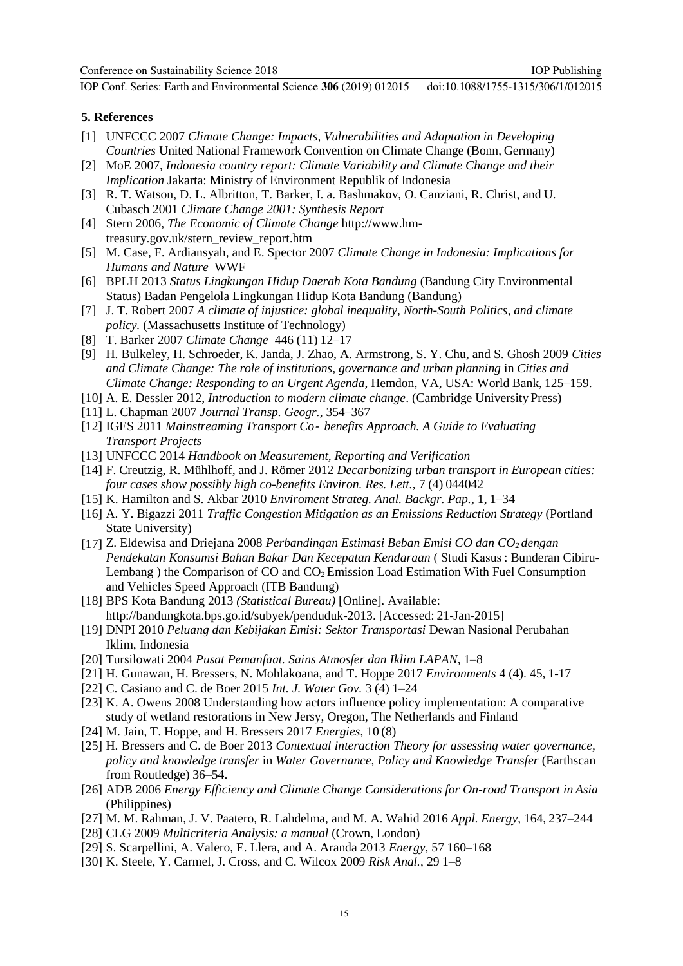IOP Conf. Series: Earth and Environmental Science **306** (2019) 012015 doi:10.1088/1755-1315/306/1/012015

#### **5. References**

- [1] UNFCCC 2007 *Climate Change: Impacts, Vulnerabilities and Adaptation in Developing Countries* United National Framework Convention on Climate Change (Bonn, Germany)
- [2] MoE 2007, *Indonesia country report: Climate Variability and Climate Change and their Implication* Jakarta: Ministry of Environment Republik of Indonesia
- [3] R. T. Watson, D. L. Albritton, T. Barker, I. a. Bashmakov, O. Canziani, R. Christ, and U. Cubasch 2001 *Climate Change 2001: Synthesis Report*
- [4] Stern 2006, *The Economic of Climate Change* http://www.hmtreasury.gov.uk/stern\_review\_report.htm
- [5] M. Case, F. Ardiansyah, and E. Spector 2007 *Climate Change in Indonesia: Implications for Humans and Nature* WWF
- [6] BPLH 2013 *Status Lingkungan Hidup Daerah Kota Bandung* (Bandung City Environmental Status) Badan Pengelola Lingkungan Hidup Kota Bandung (Bandung)
- [7] J. T. Robert 2007 *A climate of injustice: global inequality, North-South Politics, and climate policy.* (Massachusetts Institute of Technology)
- [8] T. Barker 2007 *Climate Change* 446 (11) 12–17
- [9] H. Bulkeley, H. Schroeder, K. Janda, J. Zhao, A. Armstrong, S. Y. Chu, and S. Ghosh 2009 *Cities and Climate Change: The role of institutions, governance and urban planning in Cities and Climate Change: Responding to an Urgent Agenda*, Hemdon, VA, USA: World Bank, 125–159.
- [10] A. E. Dessler 2012, *Introduction to modern climate change*. (Cambridge University Press)
- [11] L. Chapman 2007 *Journal Transp. Geogr.*, 354–367
- [12] IGES 2011 *Mainstreaming Transport Co*‐ *benefits Approach. A Guide to Evaluating Transport Projects*
- [13] UNFCCC 2014 *Handbook on Measurement, Reporting and Verification*
- [14] F. Creutzig, R. Mühlhoff, and J. Römer 2012 *Decarbonizing urban transport in European cities: four cases show possibly high co-benefits Environ. Res. Lett.*, 7 (4) 044042
- [15] K. Hamilton and S. Akbar 2010 *Enviroment Strateg. Anal. Backgr. Pap.*, 1, 1–34
- [16] A. Y. Bigazzi 2011 *Traffic Congestion Mitigation as an Emissions Reduction Strategy* (Portland State University)
- [17] Z. Eldewisa and Driejana 2008 *Perbandingan Estimasi Beban Emisi CO dan CO2 dengan Pendekatan Konsumsi Bahan Bakar Dan Kecepatan Kendaraan* ( Studi Kasus : Bunderan Cibiru-Lembang) the Comparison of CO and  $CO<sub>2</sub>$  Emission Load Estimation With Fuel Consumption and Vehicles Speed Approach (ITB Bandung)
- [18] BPS Kota Bandung 2013 *(Statistical Bureau)* [Online]. Available: [http://bandungkota.bps.go.id/subyek/penduduk-2013. \[](http://bandungkota.bps.go.id/subyek/penduduk-2013)Accessed: 21-Jan-2015]
- [19] DNPI 2010 *Peluang dan Kebijakan Emisi: Sektor Transportasi* Dewan Nasional Perubahan Iklim, Indonesia
- [20] Tursilowati 2004 *Pusat Pemanfaat. Sains Atmosfer dan Iklim LAPAN*, 1–8
- [21] H. Gunawan, H. Bressers, N. Mohlakoana, and T. Hoppe 2017 *Environments* 4 (4). 45, 1-17
- [22] C. Casiano and C. de Boer 2015 *Int. J. Water Gov.* 3 (4) 1–24
- [23] K. A. Owens 2008 Understanding how actors influence policy implementation: A comparative study of wetland restorations in New Jersy, Oregon, The Netherlands and Finland
- [24] M. Jain, T. Hoppe, and H. Bressers 2017 *Energies*, 10 (8)
- [25] H. Bressers and C. de Boer 2013 *Contextual interaction Theory for assessing water governance, policy and knowledge transfer* in *Water Governance, Policy and Knowledge Transfer* (Earthscan from Routledge) 36–54.
- [26] ADB 2006 *Energy Efficiency and Climate Change Considerations for On-road Transport in Asia* (Philippines)
- [27] M. M. Rahman, J. V. Paatero, R. Lahdelma, and M. A. Wahid 2016 *Appl. Energy*, 164, 237–244
- [28] CLG 2009 *Multicriteria Analysis: a manual* (Crown, London)
- [29] S. Scarpellini, A. Valero, E. Llera, and A. Aranda 2013 *Energy*, 57 160–168
- [30] K. Steele, Y. Carmel, J. Cross, and C. Wilcox 2009 *Risk Anal.*, 29 1–8